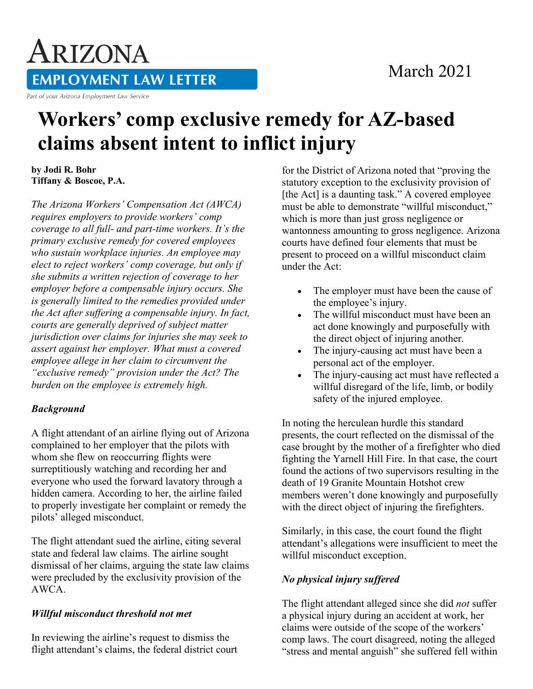### March 2021

# ARIZONA **EMPLOYMENT LAW LETTER**

Part of your Arizona Employment Law Service

## **Workers' comp exclusive remedy for AZ-based claims absent intent to inflict injury**

**by Jodi R. Bohr Tiffany & Boscoe, P.A.**

*The Arizona Workers' Compensation Act (AWCA) requires employers to provide workers' comp coverage to all full- and part-time workers. It's the primary exclusive remedy for covered employees who sustain workplace injuries. An employee may elect to reject workers' comp coverage, but only if she submits a written rejection of coverage to her employer before a compensable injury occurs. She is generally limited to the remedies provided under the Act after suffering a compensable injury. In fact, courts are generally deprived of subject matter jurisdiction over claims for injuries she may seek to assert against her employer. What must a covered employee allege in her claim to circumvent the "exclusive remedy" provision under the Act? The burden on the employee is extremely high.*

#### *Background*

A flight attendant of an airline flying out of Arizona complained to her employer that the pilots with whom she flew on reoccurring flights were surreptitiously watching and recording her and everyone who used the forward lavatory through a hidden camera. According to her, the airline failed to properly investigate her complaint or remedy the pilots' alleged misconduct.

The flight attendant sued the airline, citing several state and federal law claims. The airline sought dismissal of her claims, arguing the state law claims were precluded by the exclusivity provision of the AWCA.

#### *Willful misconduct threshold not met*

In reviewing the airline's request to dismiss the flight attendant's claims, the federal district court for the District of Arizona noted that "proving the statutory exception to the exclusivity provision of [the Act] is a daunting task." A covered employee must be able to demonstrate "willful misconduct," which is more than just gross negligence or wantonness amounting to gross negligence. Arizona courts have defined four elements that must be present to proceed on a willful misconduct claim under the Act:

- The employer must have been the cause of the employee's injury.
- The willful misconduct must have been an act done knowingly and purposefully with the direct object of injuring another.
- The injury-causing act must have been a personal act of the employer.
- The injury-causing act must have reflected a willful disregard of the life, limb, or bodily safety of the injured employee.

In noting the herculean hurdle this standard presents, the court reflected on the dismissal of the case brought by the mother of a firefighter who died fighting the Yarnell Hill Fire. In that case, the court found the actions of two supervisors resulting in the death of 19 Granite Mountain Hotshot crew members weren't done knowingly and purposefully with the direct object of injuring the firefighters.

Similarly, in this case, the court found the flight attendant's allegations were insufficient to meet the willful misconduct exception.

#### *No physical injury suffered*

The flight attendant alleged since she did *not* suffer a physical injury during an accident at work, her claims were outside of the scope of the workers' comp laws. The court disagreed, noting the alleged "stress and mental anguish" she suffered fell within